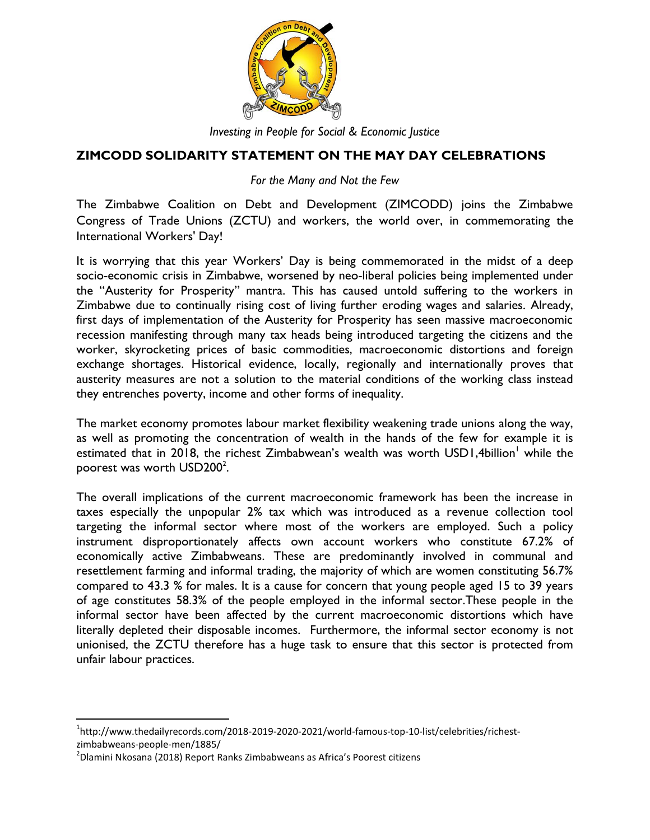

*Investing in People for Social & Economic Justice*

## **ZIMCODD SOLIDARITY STATEMENT ON THE MAY DAY CELEBRATIONS**

*For the Many and Not the Few*

The Zimbabwe Coalition on Debt and Development (ZIMCODD) joins the Zimbabwe Congress of Trade Unions (ZCTU) and workers, the world over, in commemorating the International Workers' Day!

It is worrying that this year Workers' Day is being commemorated in the midst of a deep socio-economic crisis in Zimbabwe, worsened by neo-liberal policies being implemented under the "Austerity for Prosperity" mantra. This has caused untold suffering to the workers in Zimbabwe due to continually rising cost of living further eroding wages and salaries. Already, first days of implementation of the Austerity for Prosperity has seen massive macroeconomic recession manifesting through many tax heads being introduced targeting the citizens and the worker, skyrocketing prices of basic commodities, macroeconomic distortions and foreign exchange shortages. Historical evidence, locally, regionally and internationally proves that austerity measures are not a solution to the material conditions of the working class instead they entrenches poverty, income and other forms of inequality.

The market economy promotes labour market flexibility weakening trade unions along the way, as well as promoting the concentration of wealth in the hands of the few for example it is estimated that in 2018, the richest Zimbabwean's wealth was worth USD1,4billion $^{\dagger}$  while the poorest was worth  $\mathsf{USD200^2}.$ 

The overall implications of the current macroeconomic framework has been the increase in taxes especially the unpopular 2% tax which was introduced as a revenue collection tool targeting the informal sector where most of the workers are employed. Such a policy instrument disproportionately affects own account workers who constitute 67.2% of economically active Zimbabweans. These are predominantly involved in communal and resettlement farming and informal trading, the majority of which are women constituting 56.7% compared to 43.3 % for males. It is a cause for concern that young people aged 15 to 39 years of age constitutes 58.3% of the people employed in the informal sector.These people in the informal sector have been affected by the current macroeconomic distortions which have literally depleted their disposable incomes. Furthermore, the informal sector economy is not unionised, the ZCTU therefore has a huge task to ensure that this sector is protected from unfair labour practices.

 $\overline{\phantom{a}}$ 

<sup>&</sup>lt;sup>1</sup>http://www.thedailyrecords.com/2018-2019-2020-2021/world-famous-top-10-list/celebrities/richestzimbabweans-people-men/1885/

 $^{2}$ Dlamini Nkosana (2018) Report Ranks Zimbabweans as Africa's Poorest citizens